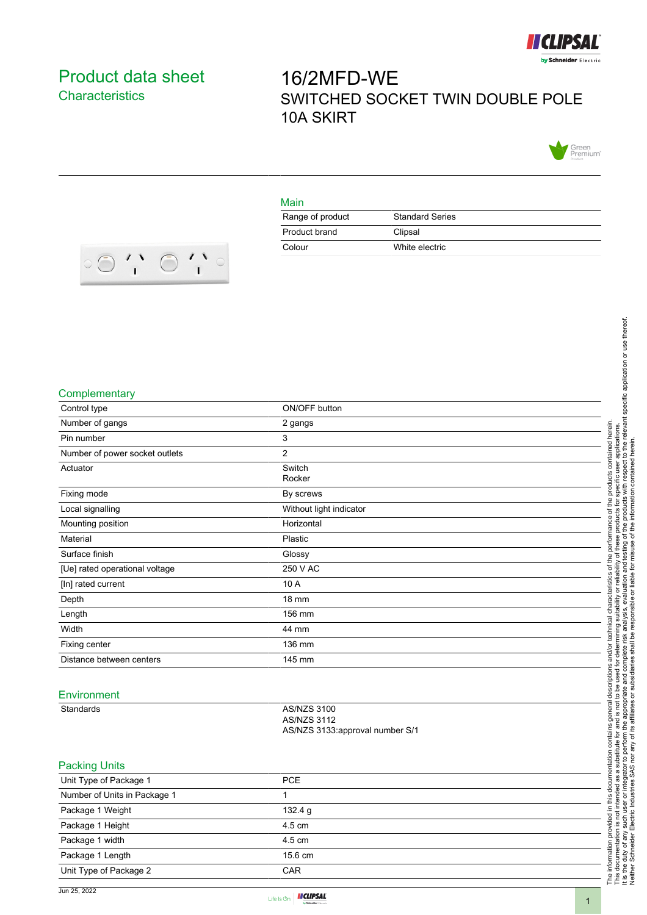

## <span id="page-0-0"></span>Product data sheet **Characteristics**

# 16/2MFD-WE SWITCHED SOCKET TWIN DOUBLE POLE 10A SKIRT



#### Main

| Range of product | <b>Standard Series</b> |
|------------------|------------------------|
| Product brand    | Clipsal                |
| Colour           | White electric         |



#### **Complementary**

| Control type                   | ON/OFF button                                                               |  |
|--------------------------------|-----------------------------------------------------------------------------|--|
| Number of gangs                | 2 gangs                                                                     |  |
| Pin number                     | $\mathbf{3}$                                                                |  |
| Number of power socket outlets | $\overline{2}$                                                              |  |
| Actuator                       | Switch<br>Rocker                                                            |  |
| Fixing mode                    | By screws                                                                   |  |
| Local signalling               | Without light indicator                                                     |  |
| Mounting position              | Horizontal                                                                  |  |
| Material                       | Plastic                                                                     |  |
| Surface finish                 | Glossy                                                                      |  |
| [Ue] rated operational voltage | 250 V AC                                                                    |  |
| [In] rated current             | 10 A                                                                        |  |
| Depth                          | 18 mm                                                                       |  |
| Length                         | 156 mm                                                                      |  |
| Width                          | 44 mm                                                                       |  |
| Fixing center                  | 136 mm                                                                      |  |
| Distance between centers       | 145 mm                                                                      |  |
| Environment                    |                                                                             |  |
| Standards                      | <b>AS/NZS 3100</b><br><b>AS/NZS 3112</b><br>AS/NZS 3133:approval number S/1 |  |
| <b>Packing Units</b>           |                                                                             |  |
| <b>Unit Type of Package 1</b>  | <b>DCE</b>                                                                  |  |

| Unit Type of Package 1       | <b>PCE</b> |  |
|------------------------------|------------|--|
| Number of Units in Package 1 |            |  |
| Package 1 Weight             | 132.4 g    |  |
| Package 1 Height             | 4.5 cm     |  |
| Package 1 width              | 4.5 cm     |  |
| Package 1 Length             | 15.6 cm    |  |
| Unit Type of Package 2       | <b>CAR</b> |  |

It is the duty of any such user or integrator to perform the appropriate and complete risk analysis, evaluation and testing of the products with respect to the relevant specific application or use thereof.

Neither Schneider Electric Industries SAS nor any of its affiliates or subsidiaries shall be responsible or liable for misuse of the information contained herein.